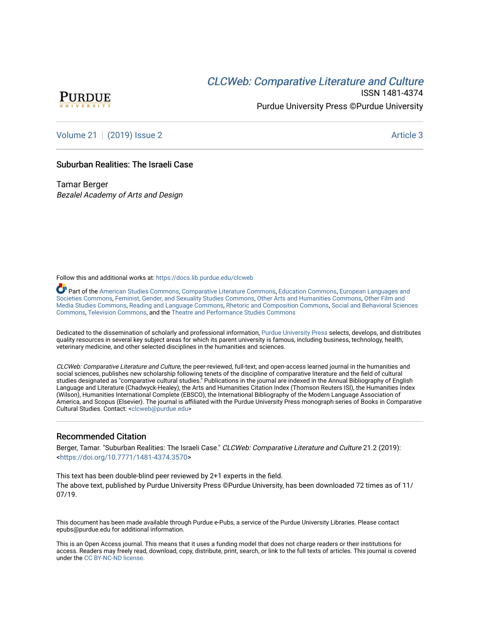# CLCW[eb: Comparative Liter](https://docs.lib.purdue.edu/clcweb)ature and Culture



ISSN 1481-4374 Purdue University Press ©Purdue University

[Volume 21](https://docs.lib.purdue.edu/clcweb/vol21) | [\(2019\) Issue 2](https://docs.lib.purdue.edu/clcweb/vol21/iss2) Article 3

# Suburban Realities: The Israeli Case

Tamar Berger Bezalel Academy of Arts and Design

Follow this and additional works at: [https://docs.lib.purdue.edu/clcweb](https://docs.lib.purdue.edu/clcweb?utm_source=docs.lib.purdue.edu%2Fclcweb%2Fvol21%2Fiss2%2F3&utm_medium=PDF&utm_campaign=PDFCoverPages)

Part of the [American Studies Commons](http://network.bepress.com/hgg/discipline/439?utm_source=docs.lib.purdue.edu%2Fclcweb%2Fvol21%2Fiss2%2F3&utm_medium=PDF&utm_campaign=PDFCoverPages), [Comparative Literature Commons,](http://network.bepress.com/hgg/discipline/454?utm_source=docs.lib.purdue.edu%2Fclcweb%2Fvol21%2Fiss2%2F3&utm_medium=PDF&utm_campaign=PDFCoverPages) [Education Commons,](http://network.bepress.com/hgg/discipline/784?utm_source=docs.lib.purdue.edu%2Fclcweb%2Fvol21%2Fiss2%2F3&utm_medium=PDF&utm_campaign=PDFCoverPages) [European Languages and](http://network.bepress.com/hgg/discipline/482?utm_source=docs.lib.purdue.edu%2Fclcweb%2Fvol21%2Fiss2%2F3&utm_medium=PDF&utm_campaign=PDFCoverPages) [Societies Commons](http://network.bepress.com/hgg/discipline/482?utm_source=docs.lib.purdue.edu%2Fclcweb%2Fvol21%2Fiss2%2F3&utm_medium=PDF&utm_campaign=PDFCoverPages), [Feminist, Gender, and Sexuality Studies Commons,](http://network.bepress.com/hgg/discipline/559?utm_source=docs.lib.purdue.edu%2Fclcweb%2Fvol21%2Fiss2%2F3&utm_medium=PDF&utm_campaign=PDFCoverPages) [Other Arts and Humanities Commons](http://network.bepress.com/hgg/discipline/577?utm_source=docs.lib.purdue.edu%2Fclcweb%2Fvol21%2Fiss2%2F3&utm_medium=PDF&utm_campaign=PDFCoverPages), [Other Film and](http://network.bepress.com/hgg/discipline/565?utm_source=docs.lib.purdue.edu%2Fclcweb%2Fvol21%2Fiss2%2F3&utm_medium=PDF&utm_campaign=PDFCoverPages)  [Media Studies Commons](http://network.bepress.com/hgg/discipline/565?utm_source=docs.lib.purdue.edu%2Fclcweb%2Fvol21%2Fiss2%2F3&utm_medium=PDF&utm_campaign=PDFCoverPages), [Reading and Language Commons](http://network.bepress.com/hgg/discipline/1037?utm_source=docs.lib.purdue.edu%2Fclcweb%2Fvol21%2Fiss2%2F3&utm_medium=PDF&utm_campaign=PDFCoverPages), [Rhetoric and Composition Commons,](http://network.bepress.com/hgg/discipline/573?utm_source=docs.lib.purdue.edu%2Fclcweb%2Fvol21%2Fiss2%2F3&utm_medium=PDF&utm_campaign=PDFCoverPages) [Social and Behavioral Sciences](http://network.bepress.com/hgg/discipline/316?utm_source=docs.lib.purdue.edu%2Fclcweb%2Fvol21%2Fiss2%2F3&utm_medium=PDF&utm_campaign=PDFCoverPages) [Commons,](http://network.bepress.com/hgg/discipline/316?utm_source=docs.lib.purdue.edu%2Fclcweb%2Fvol21%2Fiss2%2F3&utm_medium=PDF&utm_campaign=PDFCoverPages) [Television Commons,](http://network.bepress.com/hgg/discipline/1143?utm_source=docs.lib.purdue.edu%2Fclcweb%2Fvol21%2Fiss2%2F3&utm_medium=PDF&utm_campaign=PDFCoverPages) and the [Theatre and Performance Studies Commons](http://network.bepress.com/hgg/discipline/552?utm_source=docs.lib.purdue.edu%2Fclcweb%2Fvol21%2Fiss2%2F3&utm_medium=PDF&utm_campaign=PDFCoverPages)

Dedicated to the dissemination of scholarly and professional information, [Purdue University Press](http://www.thepress.purdue.edu/) selects, develops, and distributes quality resources in several key subject areas for which its parent university is famous, including business, technology, health, veterinary medicine, and other selected disciplines in the humanities and sciences.

CLCWeb: Comparative Literature and Culture, the peer-reviewed, full-text, and open-access learned journal in the humanities and social sciences, publishes new scholarship following tenets of the discipline of comparative literature and the field of cultural studies designated as "comparative cultural studies." Publications in the journal are indexed in the Annual Bibliography of English Language and Literature (Chadwyck-Healey), the Arts and Humanities Citation Index (Thomson Reuters ISI), the Humanities Index (Wilson), Humanities International Complete (EBSCO), the International Bibliography of the Modern Language Association of America, and Scopus (Elsevier). The journal is affiliated with the Purdue University Press monograph series of Books in Comparative Cultural Studies. Contact: [<clcweb@purdue.edu](mailto:clcweb@purdue.edu)>

# Recommended Citation

Berger, Tamar. "Suburban Realities: The Israeli Case." CLCWeb: Comparative Literature and Culture 21.2 (2019): <<https://doi.org/10.7771/1481-4374.3570>>

This text has been double-blind peer reviewed by 2+1 experts in the field. The above text, published by Purdue University Press ©Purdue University, has been downloaded 72 times as of 11/ 07/19.

This document has been made available through Purdue e-Pubs, a service of the Purdue University Libraries. Please contact epubs@purdue.edu for additional information.

This is an Open Access journal. This means that it uses a funding model that does not charge readers or their institutions for access. Readers may freely read, download, copy, distribute, print, search, or link to the full texts of articles. This journal is covered under the [CC BY-NC-ND license.](https://creativecommons.org/licenses/by-nc-nd/4.0/)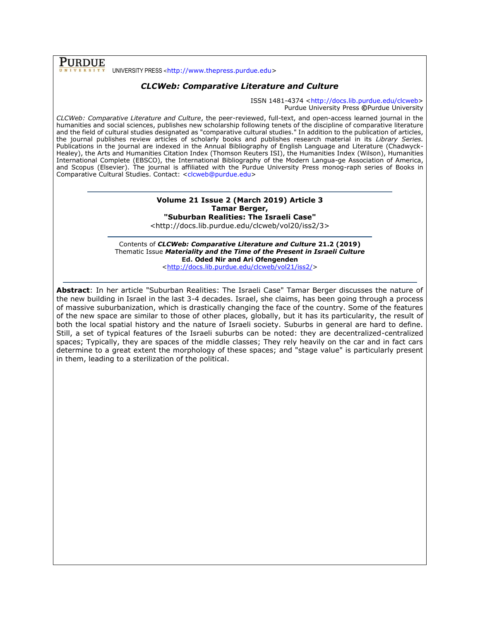**PURDUE** UNIVERSITY PRESS <[http://www.thepress.purdue.edu>](http://www.thepress.purdue.edu/)

# *CLCWeb: Comparative Literature and Culture*

ISSN 1481-4374 [<http://docs.lib.purdue.edu/clcweb>](http://docs.lib.purdue.edu/clcweb) Purdue University Press **©**Purdue University

*CLCWeb: Comparative Literature and Culture*, the peer-reviewed, full-text, and open-access learned journal in the humanities and social sciences, publishes new scholarship following tenets of the discipline of comparative literature and the field of cultural studies designated as "comparative cultural studies." In addition to the publication of articles, the journal publishes review articles of scholarly books and publishes research material in its *Library Series.*  Publications in the journal are indexed in the Annual Bibliography of English Language and Literature (Chadwyck-Healey), the Arts and Humanities Citation Index (Thomson Reuters ISI), the Humanities Index (Wilson), Humanities International Complete (EBSCO), the International Bibliography of the Modern Langua-ge Association of America, and Scopus (Elsevier). The journal is affiliated with the Purdue University Press monog-raph series of Books in Comparative Cultural Studies. Contact: [<clcweb@purdue.edu>](mailto:clcweb@purdue.edu)

# **Volume 21 Issue 2 (March 2019) Article 3 Tamar Berger, "Suburban Realities: The Israeli Case"**

<http://docs.lib.purdue.edu/clcweb/vol20/iss2/3>

Contents of *CLCWeb: Comparative Literature and Culture* **21.2 (2019)** Thematic Issue *Materiality and the Time of the Present in Israeli Culture* **Ed. Oded Nir and Ari Ofengenden** [<http://docs.lib.purdue.edu/clcweb/vol21/iss2/>](http://docs.lib.purdue.edu/clcweb/vol21/iss2/)

**Abstract**: In her article "Suburban Realities: The Israeli Case" Tamar Berger discusses the nature of the new building in Israel in the last 3-4 decades. Israel, she claims, has been going through a process of massive suburbanization, which is drastically changing the face of the country. Some of the features of the new space are similar to those of other places, globally, but it has its particularity, the result of both the local spatial history and the nature of Israeli society. Suburbs in general are hard to define. Still, a set of typical features of the Israeli suburbs can be noted: they are decentralized-centralized spaces; Typically, they are spaces of the middle classes; They rely heavily on the car and in fact cars determine to a great extent the morphology of these spaces; and "stage value" is particularly present in them, leading to a sterilization of the political.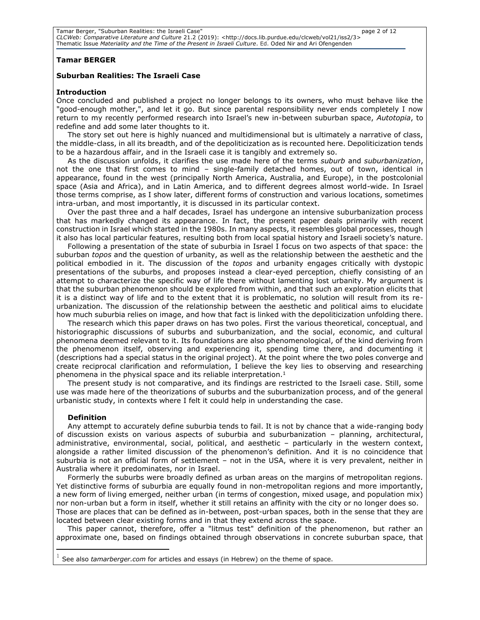# **Tamar BERGER**

### **Suburban Realities: The Israeli Case**

#### **Introduction**

Once concluded and published a project no longer belongs to its owners, who must behave like the "good-enough mother,", and let it go. But since parental responsibility never ends completely I now return to my recently performed research into Israel's new in-between suburban space, *Autotopia*, to redefine and add some later thoughts to it.

The story set out here is highly nuanced and multidimensional but is ultimately a narrative of class, the middle-class, in all its breadth, and of the depoliticization as is recounted here. Depoliticization tends to be a hazardous affair, and in the Israeli case it is tangibly and extremely so.

As the discussion unfolds, it clarifies the use made here of the terms *suburb* and *suburbanization*, not the one that first comes to mind – single-family detached homes, out of town, identical in appearance, found in the west (principally North America, Australia, and Europe), in the postcolonial space (Asia and Africa), and in Latin America, and to different degrees almost world-wide. In Israel those terms comprise, as I show later, different forms of construction and various locations, sometimes intra-urban, and most importantly, it is discussed in its particular context.

Over the past three and a half decades, Israel has undergone an intensive suburbanization process that has markedly changed its appearance. In fact, the present paper deals primarily with recent construction in Israel which started in the 1980s. In many aspects, it resembles global processes, though it also has local particular features, resulting both from local spatial history and Israeli society's nature.

Following a presentation of the state of suburbia in Israel I focus on two aspects of that space: the suburban *topos* and the question of urbanity, as well as the relationship between the aesthetic and the political embodied in it. The discussion of the *topos* and urbanity engages critically with dystopic presentations of the suburbs, and proposes instead a clear-eyed perception, chiefly consisting of an attempt to characterize the specific way of life there without lamenting lost urbanity. My argument is that the suburban phenomenon should be explored from within, and that such an exploration elicits that it is a distinct way of life and to the extent that it is problematic, no solution will result from its reurbanization. The discussion of the relationship between the aesthetic and political aims to elucidate how much suburbia relies on image, and how that fact is linked with the depoliticization unfolding there.

The research which this paper draws on has two poles. First the various theoretical, conceptual, and historiographic discussions of suburbs and suburbanization, and the social, economic, and cultural phenomena deemed relevant to it. Its foundations are also phenomenological, of the kind deriving from the phenomenon itself, observing and experiencing it, spending time there, and documenting it (descriptions had a special status in the original project). At the point where the two poles converge and create reciprocal clarification and reformulation, I believe the key lies to observing and researching phenomena in the physical space and its reliable interpretation.<sup>1</sup>

The present study is not comparative, and its findings are restricted to the Israeli case. Still, some use was made here of the theorizations of suburbs and the suburbanization process, and of the general urbanistic study, in contexts where I felt it could help in understanding the case.

#### **Definition**

 $\overline{a}$ 

Any attempt to accurately define suburbia tends to fail. It is not by chance that a wide-ranging body of discussion exists on various aspects of suburbia and suburbanization – planning, architectural, administrative, environmental, social, political, and aesthetic – particularly in the western context, alongside a rather limited discussion of the phenomenon's definition. And it is no coincidence that suburbia is not an official form of settlement – not in the USA, where it is very prevalent, neither in Australia where it predominates, nor in Israel.

Formerly the suburbs were broadly defined as urban areas on the margins of metropolitan regions. Yet distinctive forms of suburbia are equally found in non-metropolitan regions and more importantly, a new form of living emerged, neither urban (in terms of congestion, mixed usage, and population mix) nor non-urban but a form in itself, whether it still retains an affinity with the city or no longer does so. Those are places that can be defined as in-between, post-urban spaces, both in the sense that they are located between clear existing forms and in that they extend across the space.

This paper cannot, therefore, offer a "litmus test" definition of the phenomenon, but rather an approximate one, based on findings obtained through observations in concrete suburban space, that

1 See also *tamarberger.com* for articles and essays (in Hebrew) on the theme of space.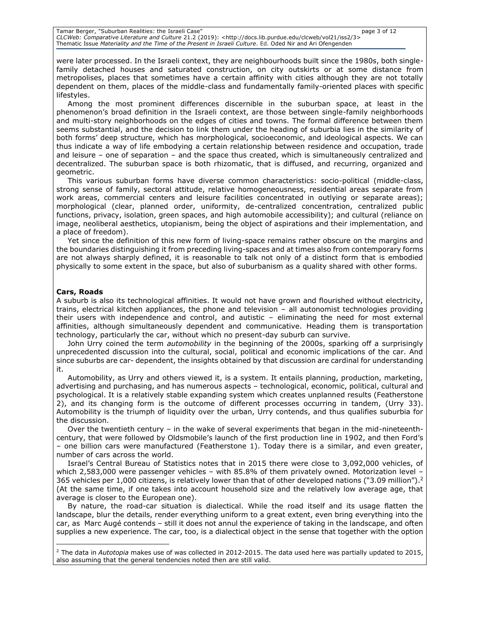were later processed. In the Israeli context, they are neighbourhoods built since the 1980s, both singlefamily detached houses and saturated construction, on city outskirts or at some distance from metropolises, places that sometimes have a certain affinity with cities although they are not totally dependent on them, places of the middle-class and fundamentally family-oriented places with specific lifestyles.

Among the most prominent differences discernible in the suburban space, at least in the phenomenon's broad definition in the Israeli context, are those between single-family neighborhoods and multi-story neighborhoods on the edges of cities and towns. The formal difference between them seems substantial, and the decision to link them under the heading of suburbia lies in the similarity of both forms' deep structure, which has morphological, socioeconomic, and ideological aspects. We can thus indicate a way of life embodying a certain relationship between residence and occupation, trade and leisure – one of separation – and the space thus created, which is simultaneously centralized and decentralized. The suburban space is both rhizomatic, that is diffused, and recurring, organized and geometric.

This various suburban forms have diverse common characteristics: socio-political (middle-class, strong sense of family, sectoral attitude, relative homogeneousness, residential areas separate from work areas, commercial centers and leisure facilities concentrated in outlying or separate areas); morphological (clear, planned order, uniformity, de-centralized concentration, centralized public functions, privacy, isolation, green spaces, and high automobile accessibility); and cultural (reliance on image, neoliberal aesthetics, utopianism, being the object of aspirations and their implementation, and a place of freedom).

Yet since the definition of this new form of living-space remains rather obscure on the margins and the boundaries distinguishing it from preceding living-spaces and at times also from contemporary forms are not always sharply defined, it is reasonable to talk not only of a distinct form that is embodied physically to some extent in the space, but also of suburbanism as a quality shared with other forms.

# **Cars, Roads**

A suburb is also its technological affinities. It would not have grown and flourished without electricity, trains, electrical kitchen appliances, the phone and television – all autonomist technologies providing their users with independence and control, and autistic – eliminating the need for most external affinities, although simultaneously dependent and communicative. Heading them is transportation technology, particularly the car, without which no present-day suburb can survive.

John Urry coined the term *automobility* in the beginning of the 2000s, sparking off a surprisingly unprecedented discussion into the cultural, social, political and economic implications of the car. And since suburbs are car- dependent, the insights obtained by that discussion are cardinal for understanding it.

Automobility, as Urry and others viewed it, is a system. It entails planning, production, marketing, advertising and purchasing, and has numerous aspects – technological, economic, political, cultural and psychological. It is a relatively stable expanding system which creates unplanned results (Featherstone 2), and its changing form is the outcome of different processes occurring in tandem, (Urry 33). Automobility is the triumph of liquidity over the urban, Urry contends, and thus qualifies suburbia for the discussion.

Over the twentieth century – in the wake of several experiments that began in the mid-nineteenthcentury, that were followed by Oldsmobile's launch of the first production line in 1902, and then Ford's – one billion cars were manufactured (Featherstone 1). Today there is a similar, and even greater, number of cars across the world.

Israel's Central Bureau of Statistics notes that in 2015 there were close to 3,092,000 vehicles, of which 2,583,000 were passenger vehicles – with 85.8% of them privately owned. Motorization level – 365 vehicles per 1,000 citizens, is relatively lower than that of other developed nations ("3.09 million").<sup>2</sup> (At the same time, if one takes into account household size and the relatively low average age, that average is closer to the European one).

By nature, the road-car situation is dialectical. While the road itself and its usage flatten the landscape, blur the details, render everything uniform to a great extent, even bring everything into the car, as Marc Augé contends – still it does not annul the experience of taking in the landscape, and often supplies a new experience. The car, too, is a dialectical object in the sense that together with the option

 $\overline{a}$ <sup>2</sup> The data in *Autotopia* makes use of was collected in 2012-2015. The data used here was partially updated to 2015, also assuming that the general tendencies noted then are still valid.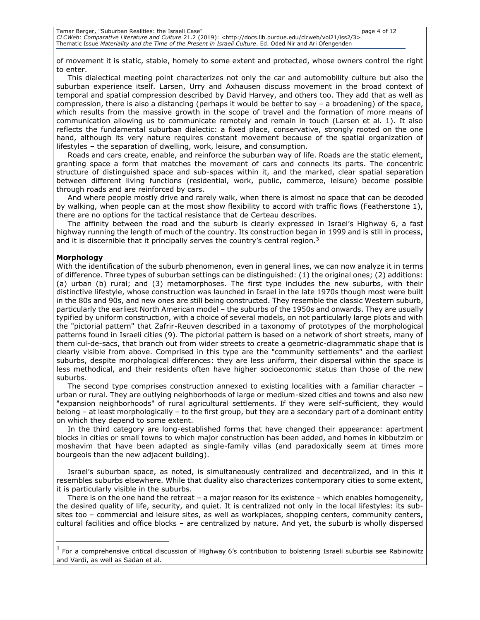of movement it is static, stable, homely to some extent and protected, whose owners control the right to enter.

This dialectical meeting point characterizes not only the car and automobility culture but also the suburban experience itself. Larsen, Urry and Axhausen discuss movement in the broad context of temporal and spatial compression described by David Harvey, and others too. They add that as well as compression, there is also a distancing (perhaps it would be better to say – a broadening) of the space, which results from the massive growth in the scope of travel and the formation of more means of communication allowing us to communicate remotely and remain in touch (Larsen et al. 1). It also reflects the fundamental suburban dialectic: a fixed place, conservative, strongly rooted on the one hand, although its very nature requires constant movement because of the spatial organization of lifestyles – the separation of dwelling, work, leisure, and consumption.

Roads and cars create, enable, and reinforce the suburban way of life. Roads are the static element, granting space a form that matches the movement of cars and connects its parts. The concentric structure of distinguished space and sub-spaces within it, and the marked, clear spatial separation between different living functions (residential, work, public, commerce, leisure) become possible through roads and are reinforced by cars.

And where people mostly drive and rarely walk, when there is almost no space that can be decoded by walking, when people can at the most show flexibility to accord with traffic flows (Featherstone 1), there are no options for the tactical resistance that de Certeau describes.

The affinity between the road and the suburb is clearly expressed in Israel's Highway 6, a fast highway running the length of much of the country. Its construction began in 1999 and is still in process, and it is discernible that it principally serves the country's central region.<sup>3</sup>

# **Morphology**

 $\overline{a}$ 

With the identification of the suburb phenomenon, even in general lines, we can now analyze it in terms of difference. Three types of suburban settings can be distinguished: (1) the original ones; (2) additions: (a) urban (b) rural; and (3) metamorphoses. The first type includes the new suburbs, with their distinctive lifestyle, whose construction was launched in Israel in the late 1970s though most were built in the 80s and 90s, and new ones are still being constructed. They resemble the classic Western suburb, particularly the earliest North American model – the suburbs of the 1950s and onwards. They are usually typified by uniform construction, with a choice of several models, on not particularly large plots and with the "pictorial pattern" that Zafrir-Reuven described in a taxonomy of prototypes of the morphological patterns found in Israeli cities (9). The pictorial pattern is based on a network of short streets, many of them cul-de-sacs, that branch out from wider streets to create a geometric-diagrammatic shape that is clearly visible from above. Comprised in this type are the "community settlements" and the earliest suburbs, despite morphological differences: they are less uniform, their dispersal within the space is less methodical, and their residents often have higher socioeconomic status than those of the new suburbs.

The second type comprises construction annexed to existing localities with a familiar character urban or rural. They are outlying neighborhoods of large or medium-sized cities and towns and also new "expansion neighborhoods" of rural agricultural settlements. If they were self-sufficient, they would belong – at least morphologically – to the first group, but they are a secondary part of a dominant entity on which they depend to some extent.

In the third category are long-established forms that have changed their appearance: apartment blocks in cities or small towns to which major construction has been added, and homes in kibbutzim or moshavim that have been adapted as single-family villas (and paradoxically seem at times more bourgeois than the new adjacent building).

Israel's suburban space, as noted, is simultaneously centralized and decentralized, and in this it resembles suburbs elsewhere. While that duality also characterizes contemporary cities to some extent, it is particularly visible in the suburbs.

There is on the one hand the retreat – a major reason for its existence – which enables homogeneity, the desired quality of life, security, and quiet. It is centralized not only in the local lifestyles: its subsites too – commercial and leisure sites, as well as workplaces, shopping centers, community centers, cultural facilities and office blocks – are centralized by nature. And yet, the suburb is wholly dispersed

 $^3$  For a comprehensive critical discussion of Highway 6's contribution to bolstering Israeli suburbia see Rabinowitz and Vardi, as well as Sadan et al.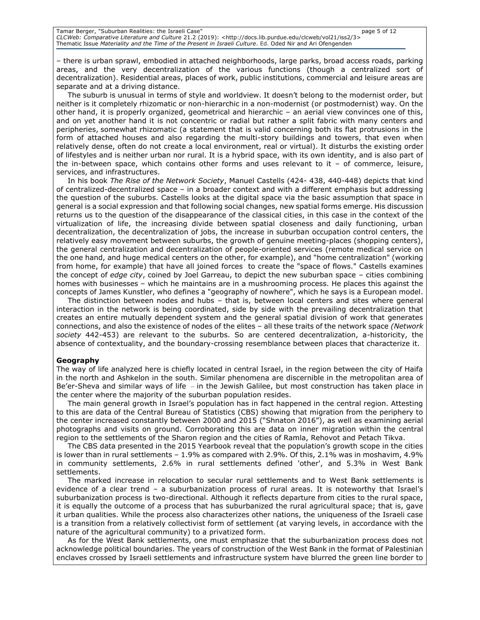– there is urban sprawl, embodied in attached neighborhoods, large parks, broad access roads, parking areas, and the very decentralization of the various functions (though a centralized sort of decentralization). Residential areas, places of work, public institutions, commercial and leisure areas are separate and at a driving distance.

The suburb is unusual in terms of style and worldview. It doesn't belong to the modernist order, but neither is it completely rhizomatic or non-hierarchic in a non-modernist (or postmodernist) way. On the other hand, it is properly organized, geometrical and hierarchic – an aerial view convinces one of this, and on yet another hand it is not concentric or radial but rather a split fabric with many centers and peripheries, somewhat rhizomatic (a statement that is valid concerning both its flat protrusions in the form of attached houses and also regarding the multi-story buildings and towers, that even when relatively dense, often do not create a local environment, real or virtual). It disturbs the existing order of lifestyles and is neither urban nor rural. It is a hybrid space, with its own identity, and is also part of the in-between space, which contains other forms and uses relevant to it – of commerce, leisure, services, and infrastructures.

In his book *The Rise of the Network Society*, Manuel Castells (424- 438, 440-448) depicts that kind of centralized-decentralized space – in a broader context and with a different emphasis but addressing the question of the suburbs. Castells looks at the digital space via the basic assumption that space in general is a social expression and that following social changes, new spatial forms emerge. His discussion returns us to the question of the disappearance of the classical cities, in this case in the context of the virtualization of life, the increasing divide between spatial closeness and daily functioning, urban decentralization, the decentralization of jobs, the increase in suburban occupation control centers, the relatively easy movement between suburbs, the growth of genuine meeting-places (shopping centers), the general centralization and decentralization of people-oriented services (remote medical service on the one hand, and huge medical centers on the other, for example), and "home centralization" (working from home, for example) that have all joined forces to create the "space of flows." Castells examines the concept of *edge city*, coined by Joel Garreau, to depict the new suburban space – cities combining homes with businesses – which he maintains are in a mushrooming process. He places this against the concepts of James Kunstler, who defines a "geography of nowhere", which he says is a European model.

The distinction between nodes and hubs – that is, between local centers and sites where general interaction in the network is being coordinated, side by side with the prevailing decentralization that creates an entire mutually dependent system and the general spatial division of work that generates connections, and also the existence of nodes of the elites – all these traits of the network space *(Network society* 442-453) are relevant to the suburbs. So are centered decentralization, a-historicity, the absence of contextuality, and the boundary-crossing resemblance between places that characterize it.

#### **Geography**

The way of life analyzed here is chiefly located in central Israel, in the region between the city of Haifa in the north and Ashkelon in the south. Similar phenomena are discernible in the metropolitan area of Be'er-Sheva and similar ways of life – in the Jewish Galilee, but most construction has taken place in the center where the majority of the suburban population resides.

The main general growth in Israel's population has in fact happened in the central region. Attesting to this are data of the Central Bureau of Statistics (CBS) showing that migration from the periphery to the center increased constantly between 2000 and 2015 ("Shnaton 2016"), as well as examining aerial photographs and visits on ground. Corroborating this are data on inner migration within the central region to the settlements of the Sharon region and the cities of Ramla, Rehovot and Petach Tikva.

The CBS data presented in the 2015 Yearbook reveal that the population's growth scope in the cities is lower than in rural settlements – 1.9% as compared with 2.9%. Of this, 2.1% was in moshavim, 4.9% in community settlements, 2.6% in rural settlements defined 'other', and 5.3% in West Bank settlements.

The marked increase in relocation to secular rural settlements and to West Bank settlements is evidence of a clear trend – a suburbanization process of rural areas. It is noteworthy that Israel's suburbanization process is two-directional. Although it reflects departure from cities to the rural space, it is equally the outcome of a process that has suburbanized the rural agricultural space; that is, gave it urban qualities. While the process also characterizes other nations, the uniqueness of the Israeli case is a transition from a relatively collectivist form of settlement (at varying levels, in accordance with the nature of the agricultural community) to a privatized form.

As for the West Bank settlements, one must emphasize that the suburbanization process does not acknowledge political boundaries. The years of construction of the West Bank in the format of Palestinian enclaves crossed by Israeli settlements and infrastructure system have blurred the green line border to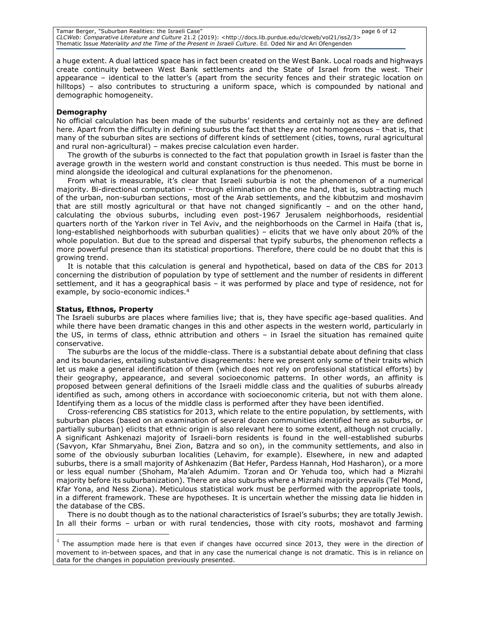a huge extent. A dual latticed space has in fact been created on the West Bank. Local roads and highways create continuity between West Bank settlements and the State of Israel from the west. Their appearance – identical to the latter's (apart from the security fences and their strategic location on hilltops) – also contributes to structuring a uniform space, which is compounded by national and demographic homogeneity.

# **Demography**

No official calculation has been made of the suburbs' residents and certainly not as they are defined here. Apart from the difficulty in defining suburbs the fact that they are not homogeneous – that is, that many of the suburban sites are sections of different kinds of settlement (cities, towns, rural agricultural and rural non-agricultural) – makes precise calculation even harder.

The growth of the suburbs is connected to the fact that population growth in Israel is faster than the average growth in the western world and constant construction is thus needed. This must be borne in mind alongside the ideological and cultural explanations for the phenomenon.

From what is measurable, it's clear that Israeli suburbia is not the phenomenon of a numerical majority. Bi-directional computation – through elimination on the one hand, that is, subtracting much of the urban, non-suburban sections, most of the Arab settlements, and the kibbutzim and moshavim that are still mostly agricultural or that have not changed significantly – and on the other hand, calculating the obvious suburbs, including even post-1967 Jerusalem neighborhoods, residential quarters north of the Yarkon river in Tel Aviv, and the neighborhoods on the Carmel in Haifa (that is, long-established neighborhoods with suburban qualities) – elicits that we have only about 20% of the whole population. But due to the spread and dispersal that typify suburbs, the phenomenon reflects a more powerful presence than its statistical proportions. Therefore, there could be no doubt that this is growing trend.

It is notable that this calculation is general and hypothetical, based on data of the CBS for 2013 concerning the distribution of population by type of settlement and the number of residents in different settlement, and it has a geographical basis – it was performed by place and type of residence, not for example, by socio-economic indices.<sup>4</sup>

# **Status, Ethnos, Property**

 $\overline{a}$ 

The Israeli suburbs are places where families live; that is, they have specific age-based qualities. And while there have been dramatic changes in this and other aspects in the western world, particularly in the US, in terms of class, ethnic attribution and others – in Israel the situation has remained quite conservative.

The suburbs are the locus of the middle-class. There is a substantial debate about defining that class and its boundaries, entailing substantive disagreements: here we present only some of their traits which let us make a general identification of them (which does not rely on professional statistical efforts) by their geography, appearance, and several socioeconomic patterns. In other words, an affinity is proposed between general definitions of the Israeli middle class and the qualities of suburbs already identified as such, among others in accordance with socioeconomic criteria, but not with them alone. Identifying them as a locus of the middle class is performed after they have been identified.

Cross-referencing CBS statistics for 2013, which relate to the entire population, by settlements, with suburban places (based on an examination of several dozen communities identified here as suburbs, or partially suburban) elicits that ethnic origin is also relevant here to some extent, although not crucially. A significant Ashkenazi majority of Israeli-born residents is found in the well-established suburbs (Savyon, Kfar Shmaryahu, Bnei Zion, Batzra and so on), in the community settlements, and also in some of the obviously suburban localities (Lehavim, for example). Elsewhere, in new and adapted suburbs, there is a small majority of Ashkenazim (Bat Hefer, Pardess Hannah, Hod Hasharon), or a more or less equal number (Shoham, Ma'aleh Adumim. Tzoran and Or Yehuda too, which had a Mizrahi majority before its suburbanization). There are also suburbs where a Mizrahi majority prevails (Tel Mond, Kfar Yona, and Ness Ziona). Meticulous statistical work must be performed with the appropriate tools, in a different framework. These are hypotheses. It is uncertain whether the missing data lie hidden in the database of the CBS.

There is no doubt though as to the national characteristics of Israel's suburbs; they are totally Jewish. In all their forms – urban or with rural tendencies, those with city roots, moshavot and farming

 $^4$  The assumption made here is that even if changes have occurred since 2013, they were in the direction of movement to in-between spaces, and that in any case the numerical change is not dramatic. This is in reliance on data for the changes in population previously presented.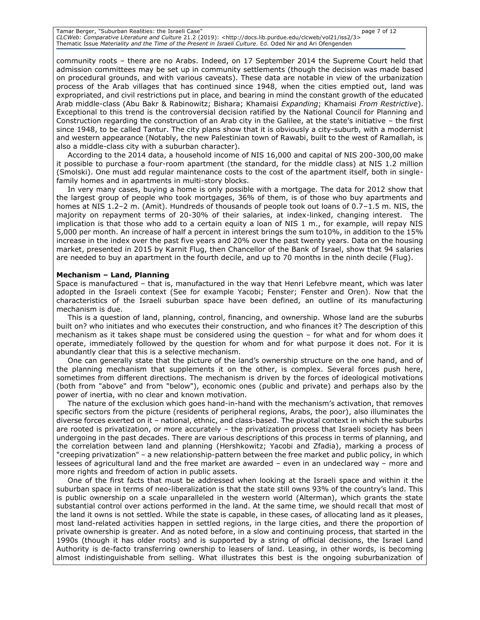Tamar Berger, "Suburban Realities: the Israeli Case" page 7 of 12 *CLCWeb: Comparative Literature and Culture* 21.2 (2019): <http://docs.lib.purdue.edu/clcweb/vol21/iss2/3> Thematic Issue *Materiality and the Time of the Present in Israeli Culture*. Ed. Oded Nir and Ari Ofengenden

community roots – there are no Arabs. Indeed, on 17 September 2014 the Supreme Court held that admission committees may be set up in community settlements (though the decision was made based on procedural grounds, and with various caveats). These data are notable in view of the urbanization process of the Arab villages that has continued since 1948, when the cities emptied out, land was expropriated, and civil restrictions put in place, and bearing in mind the constant growth of the educated Arab middle-class (Abu Bakr & Rabinowitz; Bishara; Khamaisi *Expanding*; Khamaisi *From Restrictive*). Exceptional to this trend is the controversial decision ratified by the National Council for Planning and Construction regarding the construction of an Arab city in the Galilee, at the state's initiative – the first since 1948, to be called Tantur. The city plans show that it is obviously a city-suburb, with a modernist and western appearance (Notably, the new Palestinian town of Rawabi, built to the west of Ramallah, is also a middle-class city with a suburban character).

According to the 2014 data, a household income of NIS 16,000 and capital of NIS 200-300,00 make it possible to purchase a four-room apartment (the standard, for the middle class) at NIS 1.2 million (Smolski). One must add regular maintenance costs to the cost of the apartment itself, both in singlefamily homes and in apartments in multi-story blocks.

In very many cases, buying a home is only possible with a mortgage. The data for 2012 show that the largest group of people who took mortgages, 36% of them, is of those who buy apartments and homes at NIS 1.2–2 m. (Amit). Hundreds of thousands of people took out loans of 0.7–1.5 m. NIS, the majority on repayment terms of 20-30% of their salaries, at index-linked, changing interest. The implication is that those who add to a certain equity a loan of NIS 1 m., for example, will repay NIS 5,000 per month. An increase of half a percent in interest brings the sum to10%, in addition to the 15% increase in the index over the past five years and 20% over the past twenty years. Data on the housing market, presented in 2015 by Karnit Flug, then Chancellor of the Bank of Israel, show that 94 salaries are needed to buy an apartment in the fourth decile, and up to 70 months in the ninth decile (Flug).

#### **Mechanism – Land, Planning**

Space is manufactured – that is, manufactured in the way that Henri Lefebvre meant, which was later adopted in the Israeli context (See for example Yacobi; Fenster; Fenster and Oren). Now that the characteristics of the Israeli suburban space have been defined, an outline of its manufacturing mechanism is due.

This is a question of land, planning, control, financing, and ownership. Whose land are the suburbs built on? who initiates and who executes their construction, and who finances it? The description of this mechanism as it takes shape must be considered using the question – for what and for whom does it operate, immediately followed by the question for whom and for what purpose it does not. For it is abundantly clear that this is a selective mechanism.

One can generally state that the picture of the land's ownership structure on the one hand, and of the planning mechanism that supplements it on the other, is complex. Several forces push here, sometimes from different directions. The mechanism is driven by the forces of ideological motivations (both from "above" and from "below"), economic ones (public and private) and perhaps also by the power of inertia, with no clear and known motivation.

The nature of the exclusion which goes hand-in-hand with the mechanism's activation, that removes specific sectors from the picture (residents of peripheral regions, Arabs, the poor), also illuminates the diverse forces exerted on it – national, ethnic, and class-based. The pivotal context in which the suburbs are rooted is privatization, or more accurately  $-$  the privatization process that Israeli society has been undergoing in the past decades. There are various descriptions of this process in terms of planning, and the correlation between land and planning (Hershkowitz; Yacobi and Zfadia), marking a process of "creeping privatization" – a new relationship-pattern between the free market and public policy, in which lessees of agricultural land and the free market are awarded – even in an undeclared way – more and more rights and freedom of action in public assets.

One of the first facts that must be addressed when looking at the Israeli space and within it the suburban space in terms of neo-liberalization is that the state still owns 93% of the country's land. This is public ownership on a scale unparalleled in the western world (Alterman), which grants the state substantial control over actions performed in the land. At the same time, we should recall that most of the land it owns is not settled. While the state is capable, in these cases, of allocating land as it pleases, most land-related activities happen in settled regions, in the large cities, and there the proportion of private ownership is greater. And as noted before, in a slow and continuing process, that started in the 1990s (though it has older roots) and is supported by a string of official decisions, the Israel Land Authority is de-facto transferring ownership to leasers of land. Leasing, in other words, is becoming almost indistinguishable from selling. What illustrates this best is the ongoing suburbanization of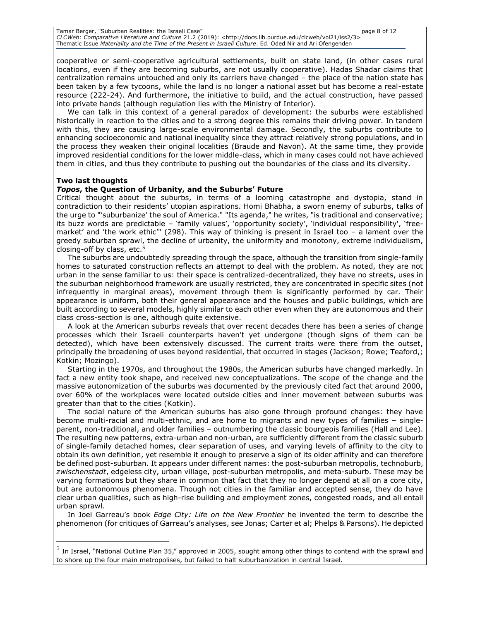Tamar Berger, "Suburban Realities: the Israeli Case" page 8 of 12 *CLCWeb: Comparative Literature and Culture* 21.2 (2019): <http://docs.lib.purdue.edu/clcweb/vol21/iss2/3> Thematic Issue *Materiality and the Time of the Present in Israeli Culture*. Ed. Oded Nir and Ari Ofengenden

cooperative or semi-cooperative agricultural settlements, built on state land, (in other cases rural locations, even if they are becoming suburbs, are not usually cooperative). Hadas Shadar claims that centralization remains untouched and only its carriers have changed – the place of the nation state has been taken by a few tycoons, while the land is no longer a national asset but has become a real-estate resource (222-24). And furthermore, the initiative to build, and the actual construction, have passed into private hands (although regulation lies with the Ministry of Interior).

We can talk in this context of a general paradox of development: the suburbs were established historically in reaction to the cities and to a strong degree this remains their driving power. In tandem with this, they are causing large-scale environmental damage. Secondly, the suburbs contribute to enhancing socioeconomic and national inequality since they attract relatively strong populations, and in the process they weaken their original localities (Braude and Navon). At the same time, they provide improved residential conditions for the lower middle-class, which in many cases could not have achieved them in cities, and thus they contribute to pushing out the boundaries of the class and its diversity.

#### **Two last thoughts**

 $\overline{a}$ 

#### *Topos***, the Question of Urbanity, and the Suburbs' Future**

Critical thought about the suburbs, in terms of a looming catastrophe and dystopia, stand in contradiction to their residents' utopian aspirations. Homi Bhabha, a sworn enemy of suburbs, talks of the urge to "'suburbanize' the soul of America." "Its agenda," he writes, "is traditional and conservative; its buzz words are predictable – 'family values', 'opportunity society', 'individual responsibility', 'freemarket' and 'the work ethic'" (298). This way of thinking is present in Israel too – a lament over the greedy suburban sprawl, the decline of urbanity, the uniformity and monotony, extreme individualism, closing-off by class, etc. $5$ 

The suburbs are undoubtedly spreading through the space, although the transition from single-family homes to saturated construction reflects an attempt to deal with the problem. As noted, they are not urban in the sense familiar to us: their space is centralized-decentralized, they have no streets, uses in the suburban neighborhood framework are usually restricted, they are concentrated in specific sites (not infrequently in marginal areas), movement through them is significantly performed by car. Their appearance is uniform, both their general appearance and the houses and public buildings, which are built according to several models, highly similar to each other even when they are autonomous and their class cross-section is one, although quite extensive.

A look at the American suburbs reveals that over recent decades there has been a series of change processes which their Israeli counterparts haven't yet undergone (though signs of them can be detected), which have been extensively discussed. The current traits were there from the outset, principally the broadening of uses beyond residential, that occurred in stages (Jackson; Rowe; Teaford,; Kotkin; Mozingo).

Starting in the 1970s, and throughout the 1980s, the American suburbs have changed markedly. In fact a new entity took shape, and received new conceptualizations. The scope of the change and the massive autonomization of the suburbs was documented by the previously cited fact that around 2000, over 60% of the workplaces were located outside cities and inner movement between suburbs was greater than that to the cities (Kotkin).

The social nature of the American suburbs has also gone through profound changes: they have become multi-racial and multi-ethnic, and are home to migrants and new types of families – singleparent, non-traditional, and older families – outnumbering the classic bourgeois families (Hall and Lee). The resulting new patterns, extra-urban and non-urban, are sufficiently different from the classic suburb of single-family detached homes, clear separation of uses, and varying levels of affinity to the city to obtain its own definition, yet resemble it enough to preserve a sign of its older affinity and can therefore be defined post-suburban. It appears under different names: the post-suburban metropolis, technoburb, *zwischenstadt*, edgeless city, urban village, post-suburban metropolis, and meta-suburb. These may be varying formations but they share in common that fact that they no longer depend at all on a core city, but are autonomous phenomena. Though not cities in the familiar and accepted sense, they do have clear urban qualities, such as high-rise building and employment zones, congested roads, and all entail urban sprawl.

In Joel Garreau's book *Edge City: Life on the New Frontier* he invented the term to describe the phenomenon (for critiques of Garreau's analyses, see Jonas; Carter et al; Phelps & Parsons). He depicted

 $^5$  In Israel, "National Outline Plan 35," approved in 2005, sought among other things to contend with the sprawl and to shore up the four main metropolises, but failed to halt suburbanization in central Israel.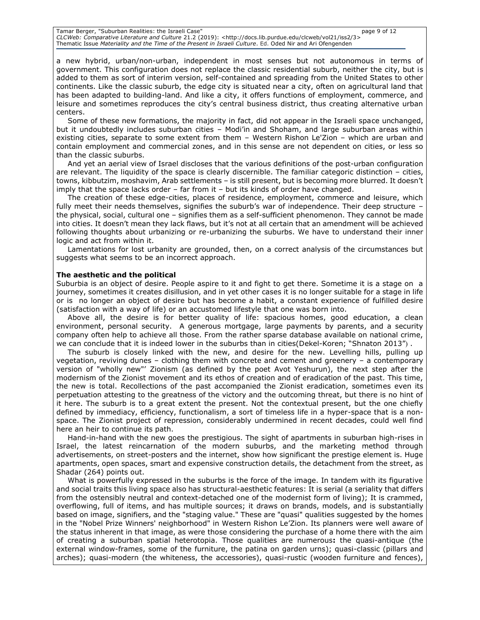a new hybrid, urban/non-urban, independent in most senses but not autonomous in terms of government. This configuration does not replace the classic residential suburb, neither the city, but is added to them as sort of interim version, self-contained and spreading from the United States to other continents. Like the classic suburb, the edge city is situated near a city, often on agricultural land that has been adapted to building-land. And like a city, it offers functions of employment, commerce, and leisure and sometimes reproduces the city's central business district, thus creating alternative urban centers.

Some of these new formations, the majority in fact, did not appear in the Israeli space unchanged, but it undoubtedly includes suburban cities – Modi'in and Shoham, and large suburban areas within existing cities, separate to some extent from them – Western Rishon Le'Zion – which are urban and contain employment and commercial zones, and in this sense are not dependent on cities, or less so than the classic suburbs.

And yet an aerial view of Israel discloses that the various definitions of the post-urban configuration are relevant. The liquidity of the space is clearly discernible. The familiar categoric distinction – cities, towns, kibbutzim, moshavim, Arab settlements – is still present, but is becoming more blurred. It doesn't imply that the space lacks order – far from it – but its kinds of order have changed.

The creation of these edge-cities, places of residence, employment, commerce and leisure, which fully meet their needs themselves, signifies the suburb's war of independence. Their deep structure the physical, social, cultural one – signifies them as a self-sufficient phenomenon. They cannot be made into cities. It doesn't mean they lack flaws, but it's not at all certain that an amendment will be achieved following thoughts about urbanizing or re-urbanizing the suburbs. We have to understand their inner logic and act from within it.

Lamentations for lost urbanity are grounded, then, on a correct analysis of the circumstances but suggests what seems to be an incorrect approach.

# **The aesthetic and the political**

Suburbia is an object of desire. People aspire to it and fight to get there. Sometime it is a stage on a journey, sometimes it creates disillusion, and in yet other cases it is no longer suitable for a stage in life or is no longer an object of desire but has become a habit, a constant experience of fulfilled desire (satisfaction with a way of life) or an accustomed lifestyle that one was born into.

Above all, the desire is for better quality of life: spacious homes, good education, a clean environment, personal security. A generous mortgage, large payments by parents, and a security company often help to achieve all those. From the rather sparse database available on national crime, we can conclude that it is indeed lower in the suburbs than in cities(Dekel-Koren; "Shnaton 2013").

The suburb is closely linked with the new, and desire for the new. Levelling hills, pulling up vegetation, reviving dunes – clothing them with concrete and cement and greenery – a contemporary version of "wholly new"' Zionism (as defined by the poet Avot Yeshurun), the next step after the modernism of the Zionist movement and its ethos of creation and of eradication of the past. This time, the new is total. Recollections of the past accompanied the Zionist eradication, sometimes even its perpetuation attesting to the greatness of the victory and the outcoming threat, but there is no hint of it here. The suburb is to a great extent the present. Not the contextual present, but the one chiefly defined by immediacy, efficiency, functionalism, a sort of timeless life in a hyper-space that is a nonspace. The Zionist project of repression, considerably undermined in recent decades, could well find here an heir to continue its path.

Hand-in-hand with the new goes the prestigious. The sight of apartments in suburban high-rises in Israel, the latest reincarnation of the modern suburbs, and the marketing method through advertisements, on street-posters and the internet, show how significant the prestige element is. Huge apartments, open spaces, smart and expensive construction details, the detachment from the street, as Shadar (264) points out.

What is powerfully expressed in the suburbs is the force of the image. In tandem with its figurative and social traits this living space also has structural-aesthetic features: It is serial (a seriality that differs from the ostensibly neutral and context-detached one of the modernist form of living); It is crammed, overflowing, full of items, and has multiple sources; it draws on brands, models, and is substantially based on image, signifiers, and the "staging value." These are "quasi" qualities suggested by the homes in the "Nobel Prize Winners' neighborhood" in Western Rishon Le'Zion. Its planners were well aware of the status inherent in that image, as were those considering the purchase of a home there with the aim of creating a suburban spatial heterotopia. Those qualities are numerous**:** the quasi-antique (the external window-frames, some of the furniture, the patina on garden urns); quasi-classic (pillars and arches); quasi-modern (the whiteness, the accessories), quasi-rustic (wooden furniture and fences),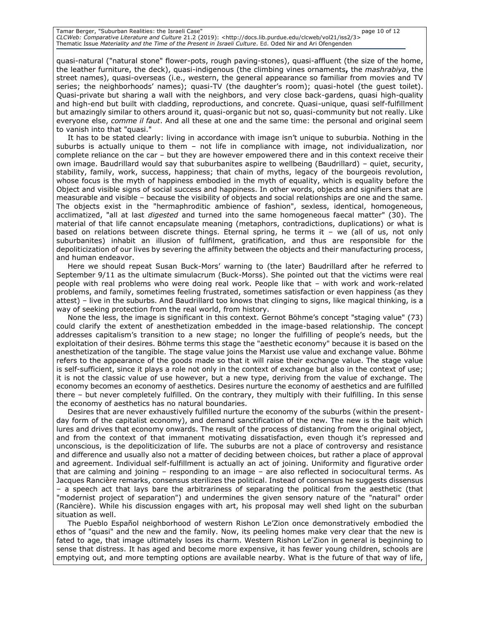quasi-natural ("natural stone" flower-pots, rough paving-stones), quasi-affluent (the size of the home, the leather furniture, the deck), quasi-indigenous (the climbing vines ornaments**,** the *mashrabiya*, the street names), quasi-overseas (i.e., western, the general appearance so familiar from movies and TV series; the neighborhoods' names); quasi-TV (the daughter's room); quasi-hotel (the guest toilet). Quasi-private but sharing a wall with the neighbors, and very close back-gardens, quasi high-quality and high-end but built with cladding, reproductions, and concrete. Quasi-unique, quasi self-fulfillment but amazingly similar to others around it, quasi-organic but not so, quasi-community but not really. Like everyone else, *comme il faut*. And all these at one and the same time: the personal and original seem to vanish into that "quasi."

It has to be stated clearly: living in accordance with image isn't unique to suburbia. Nothing in the suburbs is actually unique to them – not life in compliance with image, not individualization, nor complete reliance on the car – but they are however empowered there and in this context receive their own image. Baudrillard would say that suburbanites aspire to wellbeing (Baudrillard) – quiet, security, stability, family, work, success, happiness; that chain of myths, legacy of the bourgeois revolution, whose focus is the myth of happiness embodied in the myth of equality, which is equality before the Object and visible signs of social success and happiness. In other words, objects and signifiers that are measurable and visible – because the visibility of objects and social relationships are one and the same. The objects exist in the "hermaphroditic ambience of fashion", sexless, identical, homogeneous, acclimatized, "all at last *digested* and turned into the same homogeneous faecal matter" (30). The material of that life cannot encapsulate meaning (metaphors, contradictions, duplications) or what is based on relations between discrete things. Eternal spring, he terms it – we (all of us, not only suburbanites) inhabit an illusion of fulfilment, gratification, and thus are responsible for the depoliticization of our lives by severing the affinity between the objects and their manufacturing process, and human endeavor.

Here we should repeat Susan Buck-Mors' warning to (the later) Baudrillard after he referred to September 9/11 as the ultimate simulacrum (Buck-Morss). She pointed out that the victims were real people with real problems who were doing real work. People like that – with work and work-related problems, and family, sometimes feeling frustrated, sometimes satisfaction or even happiness (as they attest) – live in the suburbs. And Baudrillard too knows that clinging to signs, like magical thinking, is a way of seeking protection from the real world, from history.

None the less, the image is significant in this context. Gernot Böhme's concept "staging value" (73) could clarify the extent of anesthetization embedded in the image-based relationship. The concept addresses capitalism's transition to a new stage; no longer the fulfilling of people's needs, but the exploitation of their desires. Böhme terms this stage the "aesthetic economy" because it is based on the anesthetization of the tangible. The stage value joins the Marxist use value and exchange value. Böhme refers to the appearance of the goods made so that it will raise their exchange value. The stage value is self-sufficient, since it plays a role not only in the context of exchange but also in the context of use; it is not the classic value of use however, but a new type, deriving from the value of exchange. The economy becomes an economy of aesthetics. Desires nurture the economy of aesthetics and are fulfilled there – but never completely fulfilled. On the contrary, they multiply with their fulfilling. In this sense the economy of aesthetics has no natural boundaries.

Desires that are never exhaustively fulfilled nurture the economy of the suburbs (within the presentday form of the capitalist economy), and demand sanctification of the new. The new is the bait which lures and drives that economy onwards. The result of the process of distancing from the original object, and from the context of that immanent motivating dissatisfaction, even though it's repressed and unconscious, is the depoliticization of life. The suburbs are not a place of controversy and resistance and difference and usually also not a matter of deciding between choices, but rather a place of approval and agreement. Individual self-fulfillment is actually an act of joining. Uniformity and figurative order that are calming and joining – responding to an image – are also reflected in sociocultural terms. As Jacques Rancière remarks, consensus sterilizes the political. Instead of consensus he suggests dissensus – a speech act that lays bare the arbitrariness of separating the political from the aesthetic (that "modernist project of separation") and undermines the given sensory nature of the "natural" order (Rancière). While his discussion engages with art, his proposal may well shed light on the suburban situation as well.

The Pueblo Español neighborhood of western Rishon Le'Zion once demonstratively embodied the ethos of "quasi" and the new and the family. Now, its peeling homes make very clear that the new is fated to age, that image ultimately loses its charm. Western Rishon Le'Zion in general is beginning to sense that distress. It has aged and become more expensive, it has fewer young children, schools are emptying out, and more tempting options are available nearby. What is the future of that way of life,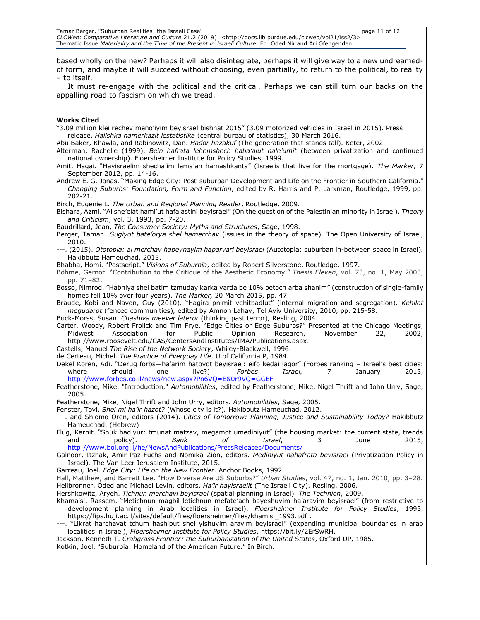Tamar Berger, "Suburban Realities: the Israeli Case" page 11 of 12 *CLCWeb: Comparative Literature and Culture* 21.2 (2019): <http://docs.lib.purdue.edu/clcweb/vol21/iss2/3> Thematic Issue *Materiality and the Time of the Present in Israeli Culture*. Ed. Oded Nir and Ari Ofengenden

based wholly on the new? Perhaps it will also disintegrate, perhaps it will give way to a new undreamedof form, and maybe it will succeed without choosing, even partially, to return to the political, to reality – to itself.

It must re-engage with the political and the critical. Perhaps we can still turn our backs on the appalling road to fascism on which we tread.

#### **Works Cited**

"3.09 million klei rechev meno'iyim beyisrael bishnat 2015" (3.09 motorized vehicles in Israel in 2015). Press release, *Halishka hamerkazit lestatistika* (central bureau of statistics), 30 March 2016.

Abu Baker, Khawla, and Rabinowitz, Dan. *Hador hazakuf* (The generation that stands tall). Keter, 2002.

Alterman, Rachelle (1999). *Bein hafrata lehemshech haba'alut hale'umit* (between privatization and continued national ownership)*.* Floersheimer Institute for Policy Studies, 1999.

Amit, Hagai. "Hayisraelim shecha'im lema'an hamashkanta" (Israelis that live for the mortgage). *The Marker,* 7 September 2012, pp. 14-16.

Andrew E. G. Jonas. "Making Edge City: Post-suburban Development and Life on the Frontier in Southern California." *Changing Suburbs: Foundation, Form and Function*, edited by R. Harris and P. Larkman, Routledge, 1999, pp. 202-21.

Birch, Eugenie L. *The Urban and Regional Planning Reader*, Routledge, 2009.

Bishara, Azmi. "Al she'elat hami'ut hafalastini beyisrael" (On the question of the Palestinian minority in Israel). *Theory and Criticism*, vol. 3, 1993, pp. 7-20.

Baudrillard, Jean, *The Consumer Society: Myths and Structures*, Sage, 1998.

Berger, Tamar. *Sugiyot bate'orya shel hamerchav* (issues in the theory of space)*.* The Open University of Israel, 2010.

---. (2015). *Ototopia: al merchav habeynayim haparvari beyisrael* (Autotopia: suburban in-between space in Israel)*.*  Hakibbutz Hameuchad, 2015.

Bhabha, Homi. "Postscript." *Visions of Suburbia*, edited by Robert Silverstone, Routledge, 1997.

Böhme, Gernot. "Contribution to the Critique of the Aesthetic Economy." *Thesis Eleven*, vol. 73, no. 1, May 2003, pp. 71–82.

Bosso, Nimrod. "Habniya shel batim tzmuday karka yarda be 10% betoch arba shanim" (construction of single-family homes fell 10% over four years). *The Marker,* 20 March 2015, pp. 47.

Braude, Kobi and Navon, Guy (2010). "Hagira pnimit vehitbadlut" (internal migration and segregation). *Kehilot megudarot* (fenced communities)*,* edited by Amnon Lahav, Tel Aviv University, 2010, pp. 215-58.

Buck-Morss, Susan. *Chashiva meever lateror* (thinking past terror)*,* Resling, 2004.

Carter, Woody, Robert Frolick and Tim Frye. "Edge Cities or Edge Suburbs?" Presented at the Chicago Meetings, Midwest Association for Public Opinion Research, November 22, 2002, http://www.roosevelt.edu/CAS/CentersAndInstitutes/IMA/Publications.aspx.

Castells, Manuel *The Rise of the Network Society*, Whiley-Blackwell, 1996.

de Certeau, Michel. *The Practice of Everyday Life*. U of California P, 1984.

Dekel Koren, Adi. "Derug forbs—ha'arim hatovot beyisrael: eifo kedai lagor" (Forbes ranking – Israel's best cities: where should one live?). *Forbes Israel,* 7 January 2013, <http://www.forbes.co.il/news/new.aspx?Pn6VQ=E&0r9VQ=GGEF>

Featherstone, Mike. "Introduction." *Automobilities*, edited by Featherstone, Mike, Nigel Thrift and John Urry, Sage, 2005.

Featherstone, Mike, Nigel Thrift and John Urry, editors. *Automobilities*, Sage, 2005.

Fenster, Tovi. *Shel mi ha'ir hazot?* (Whose city is it?)*.* Hakibbutz Hameuchad, 2012.

---. and Shlomo Oren, editors (2014). *Cities of Tomorrow: Planning, Justice and Sustainability Today?* Hakibbutz Hameuchad. (Hebrew)

Flug, Karnit. "Shuk hadiyur: tmunat matzav, megamot umediniyut" (the housing market: the current state, trends and policy). *Bank of Israel*, 3 June 2015, <http://www.boi.org.il/he/NewsAndPublications/PressReleases/Documents/>

Galnoor, Itzhak, Amir Paz-Fuchs and Nomika Zion, editors. *Mediniyut hahafrata beyisrael* (Privatization Policy in Israel)*.* The Van Leer Jerusalem Institute, 2015.

Garreau, Joel. *Edge City: Life on the New Frontier*. Anchor Books, 1992.

Hall, Matthew, and Barrett Lee. "How Diverse Are US Suburbs?" *Urban Studies*, vol. 47, no. 1, Jan. 2010, pp. 3–28. Heilbronner, Oded and Michael Levin, editors. *Ha'ir hayisraelit* (The Israeli City). Resling, 2006.

Hershkowitz, Aryeh. *Tichnun merchavi beyisrael* (spatial planning in Israel)*. The Technion*, 2009.

Khamaisi, Rassem. "Metichnun magbil letichnun mefate'ach bayeshuvim ha'aravim beyisrael" (from restrictive to development planning in Arab localities in Israel). *Floersheimer Institute for Policy Studies*, 1993, https://fips.huji.ac.il/sites/default/files/floersheimer/files/khamisi\_1993.pdf .

---. "Likrat harchavat tchum hashiput shel yishuvim aravim beyisrael" (expanding municipal boundaries in arab localities in Israel), *Floersheimer Institute for Policy Studies*, https://bit.ly/2ErSwRH.

Jackson, Kenneth T. *Crabgrass Frontier: the Suburbanization of the United States*, Oxford UP, 1985.

Kotkin, Joel. "Suburbia: Homeland of the American Future." In Birch.